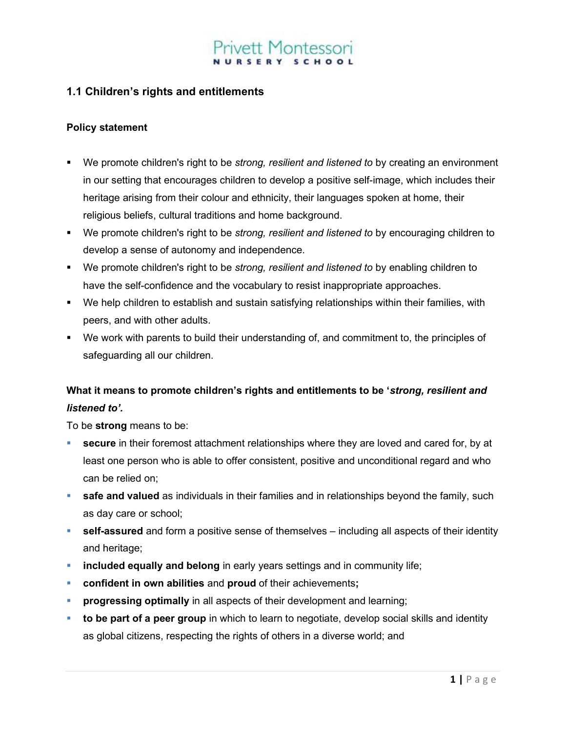# t Montessor

# 1.1 Children's rights and entitlements

#### Policy statement

- We promote children's right to be *strong, resilient and listened to* by creating an environment in our setting that encourages children to develop a positive self-image, which includes their heritage arising from their colour and ethnicity, their languages spoken at home, their religious beliefs, cultural traditions and home background.
- We promote children's right to be *strong, resilient and listened to* by encouraging children to develop a sense of autonomy and independence.
- We promote children's right to be *strong, resilient and listened to* by enabling children to have the self-confidence and the vocabulary to resist inappropriate approaches.
- We help children to establish and sustain satisfying relationships within their families, with peers, and with other adults.
- We work with parents to build their understanding of, and commitment to, the principles of safeguarding all our children.

# What it means to promote children's rights and entitlements to be 'strong, resilient and listened to'.

To be strong means to be:

- secure in their foremost attachment relationships where they are loved and cared for, by at least one person who is able to offer consistent, positive and unconditional regard and who can be relied on;
- **safe and valued** as individuals in their families and in relationships beyond the family, such as day care or school;
- **self-assured** and form a positive sense of themselves including all aspects of their identity and heritage;
- **included equally and belong** in early years settings and in community life;
- confident in own abilities and proud of their achievements;
- progressing optimally in all aspects of their development and learning;
- to be part of a peer group in which to learn to negotiate, develop social skills and identity as global citizens, respecting the rights of others in a diverse world; and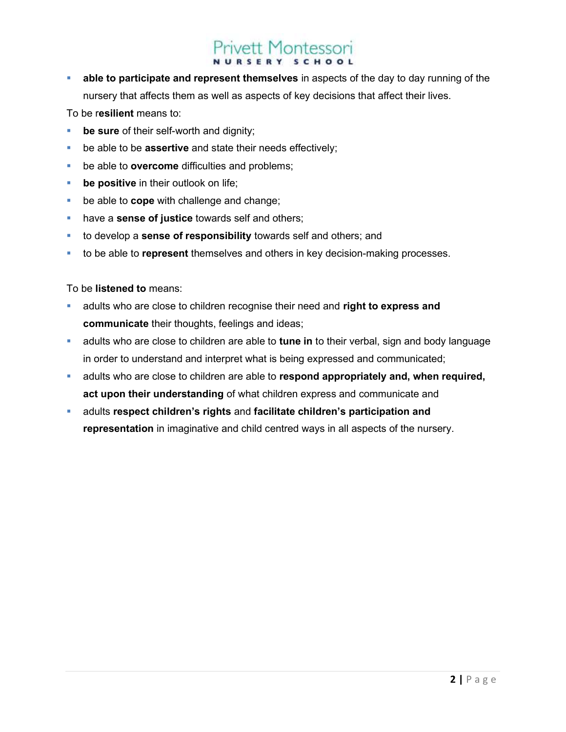# ivett Montessori

 able to participate and represent themselves in aspects of the day to day running of the nursery that affects them as well as aspects of key decisions that affect their lives.

To be resilient means to:

- be sure of their self-worth and dignity;
- $\blacksquare$  be able to be **assertive** and state their needs effectively;
- be able to **overcome** difficulties and problems;
- **be positive** in their outlook on life;
- $\blacksquare$  be able to **cope** with challenge and change;
- have a **sense of justice** towards self and others;
- to develop a sense of responsibility towards self and others; and
- to be able to represent themselves and others in key decision-making processes.

To be listened to means:

- adults who are close to children recognise their need and right to express and communicate their thoughts, feelings and ideas;
- adults who are close to children are able to tune in to their verbal, sign and body language in order to understand and interpret what is being expressed and communicated;
- **adults who are close to children are able to respond appropriately and, when required,** act upon their understanding of what children express and communicate and
- adults respect children's rights and facilitate children's participation and representation in imaginative and child centred ways in all aspects of the nursery.